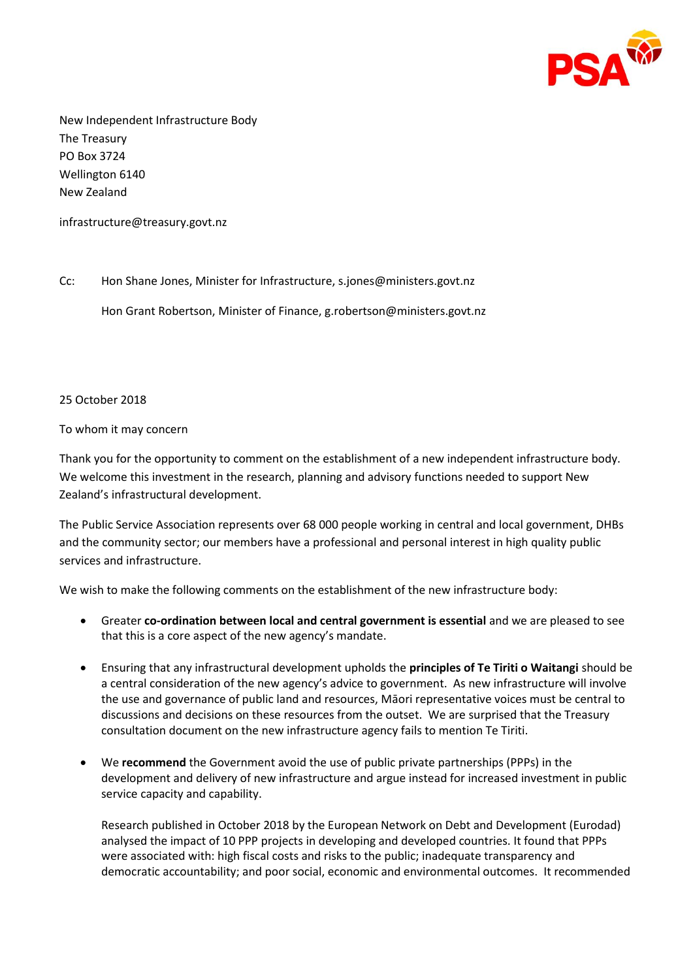

New Independent Infrastructure Body The Treasury PO Box 3724 Wellington 6140 New Zealand

infrastructure@treasury.govt.nz

Cc: Hon Shane Jones, Minister for Infrastructure, s.jones@ministers.govt.nz

Hon Grant Robertson, Minister of Finance, g.robertson@ministers.govt.nz

## 25 October 2018

## To whom it may concern

Thank you for the opportunity to comment on the establishment of a new independent infrastructure body. We welcome this investment in the research, planning and advisory functions needed to support New Zealand's infrastructural development.

The Public Service Association represents over 68 000 people working in central and local government, DHBs and the community sector; our members have a professional and personal interest in high quality public services and infrastructure.

We wish to make the following comments on the establishment of the new infrastructure body:

- Greater **co-ordination between local and central government is essential** and we are pleased to see that this is a core aspect of the new agency's mandate.
- Ensuring that any infrastructural development upholds the **principles of Te Tiriti o Waitangi** should be a central consideration of the new agency's advice to government. As new infrastructure will involve the use and governance of public land and resources, Māori representative voices must be central to discussions and decisions on these resources from the outset. We are surprised that the Treasury consultation document on the new infrastructure agency fails to mention Te Tiriti.
- We **recommend** the Government avoid the use of public private partnerships (PPPs) in the development and delivery of new infrastructure and argue instead for increased investment in public service capacity and capability.

Research published in October 2018 by the European Network on Debt and Development (Eurodad) analysed the impact of 10 PPP projects in developing and developed countries. It found that PPPs were associated with: high fiscal costs and risks to the public; inadequate transparency and democratic accountability; and poor social, economic and environmental outcomes. It recommended